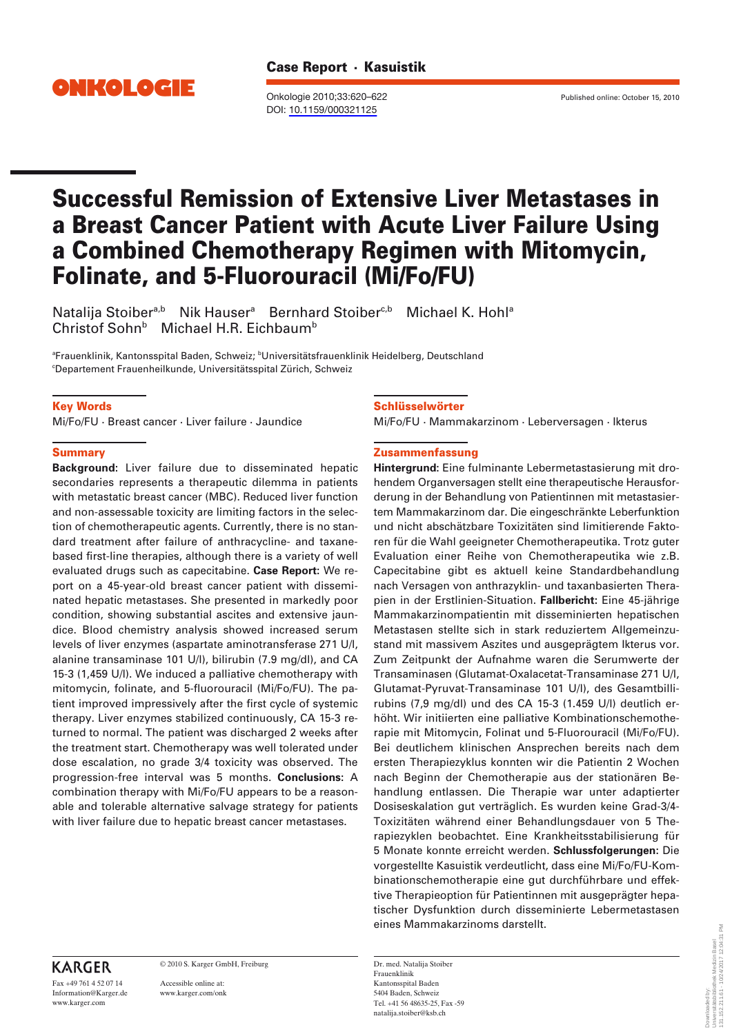

Onkologie 2010;33:620–622 Published online: October 15, 2010 DOI: [10.1159/000321125](http://dx.doi.org/10.1159%2F000321125)

# Successful Remission of Extensive Liver Metastases in a Breast Cancer Patient with Acute Liver Failure Using a Combined Chemotherapy Regimen with Mitomycin, Folinate, and 5-Fluorouracil (Mi/Fo/FU)

Natalija Stoiber<sup>a,b</sup> Nik Hauser<sup>a</sup> Bernhard Stoiber<sup>c,b</sup> Michael K. Hohl<sup>a</sup> Christof Sohn<sup>b</sup> Michael H.R. Eichbaum<sup>b</sup>

®Frauenklinik, Kantonsspital Baden, Schweiz; <sup>b</sup>Universitätsfrauenklinik Heidelberg, Deutschland c Departement Frauenheilkunde, Universitätsspital Zürich, Schweiz

### Key Words

Mi/Fo/FU · Breast cancer · Liver failure · Jaundice

#### **Summary**

**Background:** Liver failure due to disseminated hepatic secondaries represents a therapeutic dilemma in patients with metastatic breast cancer (MBC). Reduced liver function and non-assessable toxicity are limiting factors in the selection of chemotherapeutic agents. Currently, there is no standard treatment after failure of anthracycline- and taxanebased first-line therapies, although there is a variety of well evaluated drugs such as capecitabine. **Case Report:** We report on a 45-year-old breast cancer patient with disseminated hepatic metastases. She presented in markedly poor condition, showing substantial ascites and extensive jaundice. Blood chemistry analysis showed increased serum levels of liver enzymes (aspartate aminotransferase 271 U/l, alanine transaminase 101 U/l), bilirubin (7.9 mg/dl), and CA 15-3 (1,459 U/l). We induced a palliative chemotherapy with mitomycin, folinate, and 5-fluorouracil (Mi/Fo/FU). The patient improved impressively after the first cycle of systemic therapy. Liver enzymes stabilized continuously, CA 15-3 returned to normal. The patient was discharged 2 weeks after the treatment start. Chemotherapy was well tolerated under dose escalation, no grade 3/4 toxicity was observed. The progression-free interval was 5 months. **Conclusions:** A combination therapy with Mi/Fo/FU appears to be a reasonable and tolerable alternative salvage strategy for patients with liver failure due to hepatic breast cancer metastases.

#### Schlüsselwörter

Mi/Fo/FU · Mammakarzinom · Leberversagen · Ikterus

#### Zusammenfassung

**Hintergrund:** Eine fulminante Lebermetastasierung mit drohendem Organversagen stellt eine therapeutische Herausforderung in der Behandlung von Patientinnen mit metastasiertem Mammakarzinom dar. Die eingeschränkte Leberfunktion und nicht abschätzbare Toxizitäten sind limitierende Faktoren für die Wahl geeigneter Chemotherapeutika. Trotz guter Evaluation einer Reihe von Chemotherapeutika wie z.B. Capecitabine gibt es aktuell keine Standardbehandlung nach Versagen von anthrazyklin- und taxanbasierten Therapien in der Erstlinien-Situation. **Fallbericht:** Eine 45-jährige Mammakarzinompatientin mit disseminierten hepatischen Metastasen stellte sich in stark reduziertem Allgemeinzustand mit massivem Aszites und ausgeprägtem Ikterus vor. Zum Zeitpunkt der Aufnahme waren die Serumwerte der Transaminasen (Glutamat-Oxalacetat-Transaminase 271 U/l, Glutamat-Pyruvat-Transaminase 101 U/l), des Gesamtbillirubins (7,9 mg/dl) und des CA 15-3 (1.459 U/l) deutlich erhöht. Wir initiierten eine palliative Kombinationschemotherapie mit Mitomycin, Folinat und 5-Fluorouracil (Mi/Fo/FU). Bei deutlichem klinischen Ansprechen bereits nach dem ersten Therapiezyklus konnten wir die Patientin 2 Wochen nach Beginn der Chemotherapie aus der stationären Behandlung entlassen. Die Therapie war unter adaptierter Dosiseskalation gut verträglich. Es wurden keine Grad-3/4- Toxizitäten während einer Behandlungsdauer von 5 Therapiezyklen beobachtet. Eine Krankheitsstabilisierung für 5 Monate konnte erreicht werden. **Schlussfolgerungen:** Die vorgestellte Kasuistik verdeutlicht, dass eine Mi/Fo/FU-Kombinationschemotherapie eine gut durchführbare und effektive Therapieoption für Patientinnen mit ausgeprägter hepatischer Dysfunktion durch disseminierte Lebermetastasen eines Mammakarzinoms darstellt.

Dr. med. Natalija Stoiber Frauenklinik Kantonsspital Baden 5404 Baden, Schweiz Tel. +41 56 48635-25, Fax -59 natalija.stoiber@ksb.ch

# **KARGER**

Fax +49 761 4 52 07 14 Information@Karger.de www.karger.com

© 2010 S. Karger GmbH, Freiburg

Accessible online at: www.karger.com/onk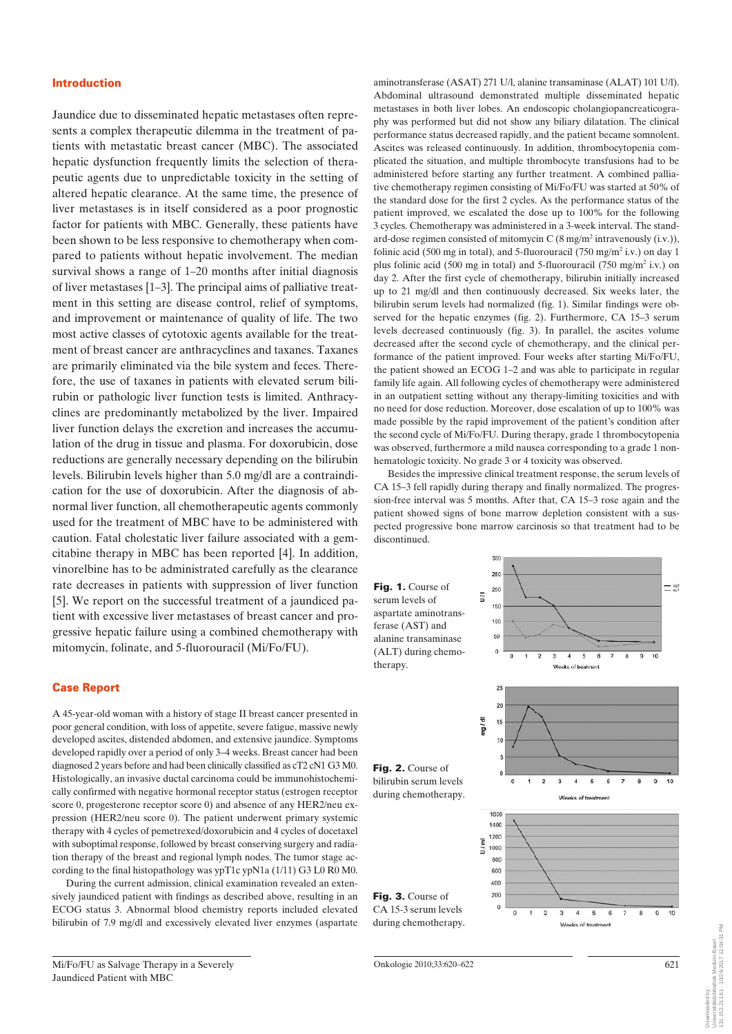### Introduction

Jaundice due to disseminated hepatic metastases often represents a complex therapeutic dilemma in the treatment of patients with metastatic breast cancer (MBC). The associated hepatic dysfunction frequently limits the selection of therapeutic agents due to unpredictable toxicity in the setting of altered hepatic clearance. At the same time, the presence of liver metastases is in itself considered as a poor prognostic factor for patients with MBC. Generally, these patients have been shown to be less responsive to chemotherapy when compared to patients without hepatic involvement. The median survival shows a range of 1–20 months after initial diagnosis of liver metastases [1–3]. The principal aims of palliative treatment in this setting are disease control, relief of symptoms, and improvement or maintenance of quality of life. The two most active classes of cytotoxic agents available for the treatment of breast cancer are anthracyclines and taxanes. Taxanes are primarily eliminated via the bile system and feces. Therefore, the use of taxanes in patients with elevated serum bilirubin or pathologic liver function tests is limited. Anthracyclines are predominantly metabolized by the liver. Impaired liver function delays the excretion and increases the accumulation of the drug in tissue and plasma. For doxorubicin, dose reductions are generally necessary depending on the bilirubin levels. Bilirubin levels higher than 5.0 mg/dl are a contraindication for the use of doxorubicin. After the diagnosis of abnormal liver function, all chemotherapeutic agents commonly used for the treatment of MBC have to be administered with caution. Fatal cholestatic liver failure associated with a gemcitabine therapy in MBC has been reported [4]. In addition, vinorelbine has to be administrated carefully as the clearance rate decreases in patients with suppression of liver function [5]. We report on the successful treatment of a jaundiced patient with excessive liver metastases of breast cancer and progressive hepatic failure using a combined chemotherapy with mitomycin, folinate, and 5-fluorouracil (Mi/Fo/FU).

#### Case Report

A 45-year-old woman with a history of stage II breast cancer presented in poor general condition, with loss of appetite, severe fatigue, massive newly developed ascites, distended abdomen, and extensive jaundice. Symptoms developed rapidly over a period of only 3–4 weeks. Breast cancer had been diagnosed 2 years before and had been clinically classified as cT2 cN1 G3 M0. Histologically, an invasive ductal carcinoma could be immunohistochemically confirmed with negative hormonal receptor status (estrogen receptor score 0, progesterone receptor score 0) and absence of any HER2/neu expression (HER2/neu score 0). The patient underwent primary systemic therapy with 4 cycles of pemetrexed/doxorubicin and 4 cycles of docetaxel with suboptimal response, followed by breast conserving surgery and radiation therapy of the breast and regional lymph nodes. The tumor stage according to the final histopathology was ypT1c ypN1a (1/11) G3 L0 R0 M0.

During the current admission, clinical examination revealed an extensively jaundiced patient with findings as described above, resulting in an ECOG status 3. Abnormal blood chemistry reports included elevated bilirubin of 7.9 mg/dl and excessively elevated liver enzymes (aspartate aminotransferase (ASAT) 271 U/l, alanine transaminase (ALAT) 101 U/l). Abdominal ultrasound demonstrated multiple disseminated hepatic metastases in both liver lobes. An endoscopic cholangiopancreaticography was performed but did not show any biliary dilatation. The clinical performance status decreased rapidly, and the patient became somnolent. Ascites was released continuously. In addition, thrombocytopenia complicated the situation, and multiple thrombocyte transfusions had to be administered before starting any further treatment. A combined palliative chemotherapy regimen consisting of Mi/Fo/FU was started at 50% of the standard dose for the first 2 cycles. As the performance status of the patient improved, we escalated the dose up to 100% for the following 3 cycles. Chemotherapy was administered in a 3-week interval. The standard-dose regimen consisted of mitomycin C  $(8 \text{ mg/m}^2 \text{ intravenously (i.v.)}),$ folinic acid (500 mg in total), and 5-fluorouracil (750 mg/m<sup>2</sup> i.v.) on day 1 plus folinic acid (500 mg in total) and 5-fluorouracil (750 mg/m<sup>2</sup> i.v.) on day 2. After the first cycle of chemotherapy, bilirubin initially increased up to 21 mg/dl and then continuously decreased. Six weeks later, the bilirubin serum levels had normalized (fig. 1). Similar findings were observed for the hepatic enzymes (fig. 2). Furthermore, CA 15–3 serum levels decreased continuously (fig. 3). In parallel, the ascites volume decreased after the second cycle of chemotherapy, and the clinical performance of the patient improved. Four weeks after starting Mi/Fo/FU, the patient showed an ECOG 1–2 and was able to participate in regular family life again. All following cycles of chemotherapy were administered in an outpatient setting without any therapy-limiting toxicities and with no need for dose reduction. Moreover, dose escalation of up to 100% was made possible by the rapid improvement of the patient's condition after the second cycle of Mi/Fo/FU. During therapy, grade 1 thrombocytopenia was observed, furthermore a mild nausea corresponding to a grade 1 nonhematologic toxicity. No grade 3 or 4 toxicity was observed.

Besides the impressive clinical treatment response, the serum levels of CA 15–3 fell rapidly during therapy and finally normalized. The progression-free interval was 5 months. After that, CA 15–3 rose again and the patient showed signs of bone marrow depletion consistent with a suspected progressive bone marrow carcinosis so that treatment had to be discontinued.

30

Fig. 1. Course of serum levels of aspartate aminotransferase (AST) and alanine transaminase (ALT) during chemotherapy.



621